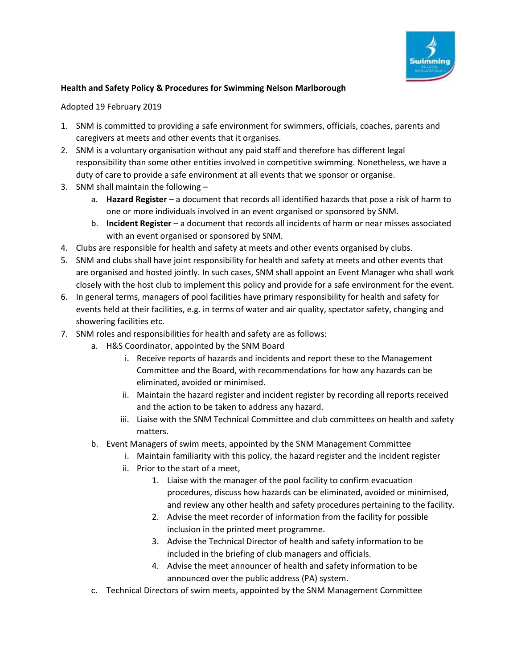

## **Health and Safety Policy & Procedures for Swimming Nelson Marlborough**

## Adopted 19 February 2019

- 1. SNM is committed to providing a safe environment for swimmers, officials, coaches, parents and caregivers at meets and other events that it organises.
- 2. SNM is a voluntary organisation without any paid staff and therefore has different legal responsibility than some other entities involved in competitive swimming. Nonetheless, we have a duty of care to provide a safe environment at all events that we sponsor or organise.
- 3. SNM shall maintain the following
	- a. **Hazard Register** a document that records all identified hazards that pose a risk of harm to one or more individuals involved in an event organised or sponsored by SNM.
	- b. **Incident Register** a document that records all incidents of harm or near misses associated with an event organised or sponsored by SNM.
- 4. Clubs are responsible for health and safety at meets and other events organised by clubs.
- 5. SNM and clubs shall have joint responsibility for health and safety at meets and other events that are organised and hosted jointly. In such cases, SNM shall appoint an Event Manager who shall work closely with the host club to implement this policy and provide for a safe environment for the event.
- 6. In general terms, managers of pool facilities have primary responsibility for health and safety for events held at their facilities, e.g. in terms of water and air quality, spectator safety, changing and showering facilities etc.
- 7. SNM roles and responsibilities for health and safety are as follows:
	- a. H&S Coordinator, appointed by the SNM Board
		- i. Receive reports of hazards and incidents and report these to the Management Committee and the Board, with recommendations for how any hazards can be eliminated, avoided or minimised.
		- ii. Maintain the hazard register and incident register by recording all reports received and the action to be taken to address any hazard.
		- iii. Liaise with the SNM Technical Committee and club committees on health and safety matters.
	- b. Event Managers of swim meets, appointed by the SNM Management Committee
		- i. Maintain familiarity with this policy, the hazard register and the incident register
		- ii. Prior to the start of a meet,
			- 1. Liaise with the manager of the pool facility to confirm evacuation procedures, discuss how hazards can be eliminated, avoided or minimised, and review any other health and safety procedures pertaining to the facility.
			- 2. Advise the meet recorder of information from the facility for possible inclusion in the printed meet programme.
			- 3. Advise the Technical Director of health and safety information to be included in the briefing of club managers and officials.
			- 4. Advise the meet announcer of health and safety information to be announced over the public address (PA) system.
	- c. Technical Directors of swim meets, appointed by the SNM Management Committee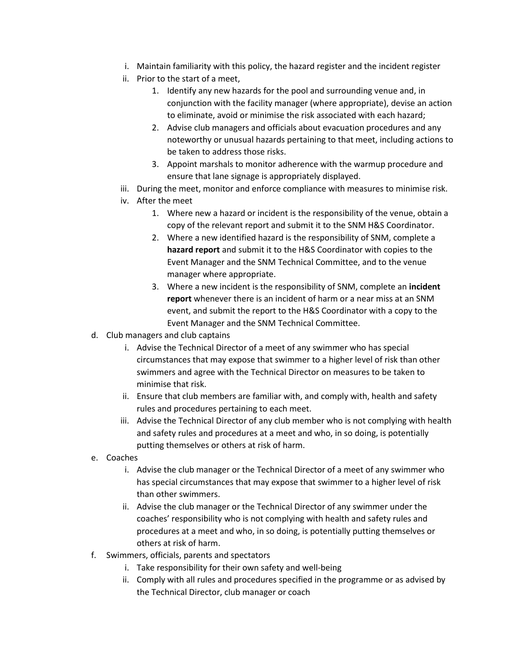- i. Maintain familiarity with this policy, the hazard register and the incident register
- ii. Prior to the start of a meet,
	- 1. Identify any new hazards for the pool and surrounding venue and, in conjunction with the facility manager (where appropriate), devise an action to eliminate, avoid or minimise the risk associated with each hazard;
	- 2. Advise club managers and officials about evacuation procedures and any noteworthy or unusual hazards pertaining to that meet, including actions to be taken to address those risks.
	- 3. Appoint marshals to monitor adherence with the warmup procedure and ensure that lane signage is appropriately displayed.
- iii. During the meet, monitor and enforce compliance with measures to minimise risk.
- iv. After the meet
	- 1. Where new a hazard or incident is the responsibility of the venue, obtain a copy of the relevant report and submit it to the SNM H&S Coordinator.
	- 2. Where a new identified hazard is the responsibility of SNM, complete a **hazard report** and submit it to the H&S Coordinator with copies to the Event Manager and the SNM Technical Committee, and to the venue manager where appropriate.
	- 3. Where a new incident is the responsibility of SNM, complete an **incident report** whenever there is an incident of harm or a near miss at an SNM event, and submit the report to the H&S Coordinator with a copy to the Event Manager and the SNM Technical Committee.
- d. Club managers and club captains
	- i. Advise the Technical Director of a meet of any swimmer who has special circumstances that may expose that swimmer to a higher level of risk than other swimmers and agree with the Technical Director on measures to be taken to minimise that risk.
	- ii. Ensure that club members are familiar with, and comply with, health and safety rules and procedures pertaining to each meet.
	- iii. Advise the Technical Director of any club member who is not complying with health and safety rules and procedures at a meet and who, in so doing, is potentially putting themselves or others at risk of harm.
- e. Coaches
	- i. Advise the club manager or the Technical Director of a meet of any swimmer who has special circumstances that may expose that swimmer to a higher level of risk than other swimmers.
	- ii. Advise the club manager or the Technical Director of any swimmer under the coaches' responsibility who is not complying with health and safety rules and procedures at a meet and who, in so doing, is potentially putting themselves or others at risk of harm.
- f. Swimmers, officials, parents and spectators
	- i. Take responsibility for their own safety and well-being
	- ii. Comply with all rules and procedures specified in the programme or as advised by the Technical Director, club manager or coach